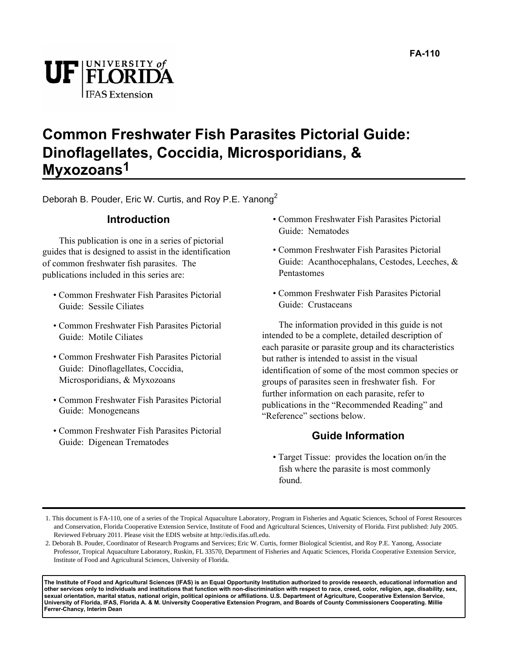

#### **Common Freshwater Fish Parasites Pictorial Guide: Dinoflagellates, Coccidia, Microsporidians, & Myxozoans1**

Deborah B. Pouder, Eric W. Curtis, and Roy P.E. Yanong<sup>2</sup>

#### **Introduction**

This publication is one in a series of pictorial guides that is designed to assist in the identification of common freshwater fish parasites. The publications included in this series are:

- Common Freshwater Fish Parasites Pictorial Guide: Sessile Ciliates
- Common Freshwater Fish Parasites Pictorial Guide: Motile Ciliates
- Common Freshwater Fish Parasites Pictorial Guide: Dinoflagellates, Coccidia, Microsporidians, & Myxozoans
- Common Freshwater Fish Parasites Pictorial Guide: Monogeneans
- Common Freshwater Fish Parasites Pictorial Guide: Digenean Trematodes
- Common Freshwater Fish Parasites Pictorial Guide: Nematodes
- Common Freshwater Fish Parasites Pictorial Guide: Acanthocephalans, Cestodes, Leeches, & Pentastomes
- Common Freshwater Fish Parasites Pictorial Guide: Crustaceans

The information provided in this guide is not intended to be a complete, detailed description of each parasite or parasite group and its characteristics but rather is intended to assist in the visual identification of some of the most common species or groups of parasites seen in freshwater fish. For further information on each parasite, refer to publications in the "Recommended Reading" and "Reference" sections below.

#### **Guide Information**

• Target Tissue: provides the location on/in the fish where the parasite is most commonly found.

**The Institute of Food and Agricultural Sciences (IFAS) is an Equal Opportunity Institution authorized to provide research, educational information and other services only to individuals and institutions that function with non-discrimination with respect to race, creed, color, religion, age, disability, sex, sexual orientation, marital status, national origin, political opinions or affiliations. U.S. Department of Agriculture, Cooperative Extension Service, University of Florida, IFAS, Florida A. & M. University Cooperative Extension Program, and Boards of County Commissioners Cooperating. Millie Ferrer-Chancy, Interim Dean**

<sup>1.</sup> This document is FA-110, one of a series of the Tropical Aquaculture Laboratory, Program in Fisheries and Aquatic Sciences, School of Forest Resources and Conservation, Florida Cooperative Extension Service, Institute of Food and Agricultural Sciences, University of Florida. First published: July 2005. Reviewed February 2011. Please visit the EDIS website at http://edis.ifas.ufl.edu.

<sup>2.</sup> Deborah B. Pouder, Coordinator of Research Programs and Services; Eric W. Curtis, former Biological Scientist, and Roy P.E. Yanong, Associate Professor, Tropical Aquaculture Laboratory, Ruskin, FL 33570, Department of Fisheries and Aquatic Sciences, Florida Cooperative Extension Service, Institute of Food and Agricultural Sciences, University of Florida.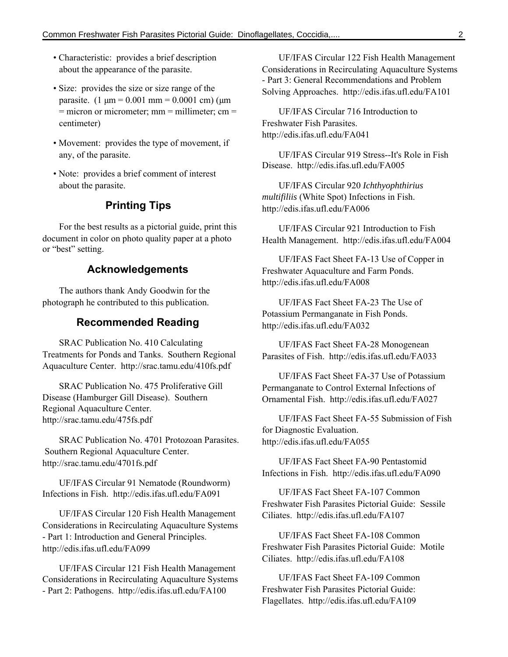- Characteristic: provides a brief description about the appearance of the parasite.
- Size: provides the size or size range of the parasite.  $(1 \mu m = 0.001 \text{ mm} = 0.0001 \text{ cm})$  ( $\mu$ m  $=$  microm or micrometer; mm  $=$  millimeter; cm  $=$ centimeter)
- Movement: provides the type of movement, if any, of the parasite.
- Note: provides a brief comment of interest about the parasite.

#### **Printing Tips**

For the best results as a pictorial guide, print this document in color on photo quality paper at a photo or "best" setting.

#### **Acknowledgements**

The authors thank Andy Goodwin for the photograph he contributed to this publication.

#### **Recommended Reading**

SRAC Publication No. 410 Calculating Treatments for Ponds and Tanks. Southern Regional Aquaculture Center. http://srac.tamu.edu/410fs.pdf

SRAC Publication No. 475 Proliferative Gill Disease (Hamburger Gill Disease). Southern Regional Aquaculture Center. http://srac.tamu.edu/475fs.pdf

SRAC Publication No. 4701 Protozoan Parasites. Southern Regional Aquaculture Center. http://srac.tamu.edu/4701fs.pdf

UF/IFAS Circular 91 Nematode (Roundworm) Infections in Fish. http://edis.ifas.ufl.edu/FA091

UF/IFAS Circular 120 Fish Health Management Considerations in Recirculating Aquaculture Systems - Part 1: Introduction and General Principles. http://edis.ifas.ufl.edu/FA099

UF/IFAS Circular 121 Fish Health Management Considerations in Recirculating Aquaculture Systems - Part 2: Pathogens. http://edis.ifas.ufl.edu/FA100

UF/IFAS Circular 122 Fish Health Management Considerations in Recirculating Aquaculture Systems - Part 3: General Recommendations and Problem Solving Approaches. http://edis.ifas.ufl.edu/FA101

UF/IFAS Circular 716 Introduction to Freshwater Fish Parasites. http://edis.ifas.ufl.edu/FA041

UF/IFAS Circular 919 Stress--It's Role in Fish Disease. http://edis.ifas.ufl.edu/FA005

UF/IFAS Circular 920 *Ichthyophthirius multifiliis* (White Spot) Infections in Fish. http://edis.ifas.ufl.edu/FA006

UF/IFAS Circular 921 Introduction to Fish Health Management. http://edis.ifas.ufl.edu/FA004

UF/IFAS Fact Sheet FA-13 Use of Copper in Freshwater Aquaculture and Farm Ponds. http://edis.ifas.ufl.edu/FA008

UF/IFAS Fact Sheet FA-23 The Use of Potassium Permanganate in Fish Ponds. http://edis.ifas.ufl.edu/FA032

UF/IFAS Fact Sheet FA-28 Monogenean Parasites of Fish. http://edis.ifas.ufl.edu/FA033

UF/IFAS Fact Sheet FA-37 Use of Potassium Permanganate to Control External Infections of Ornamental Fish. http://edis.ifas.ufl.edu/FA027

UF/IFAS Fact Sheet FA-55 Submission of Fish for Diagnostic Evaluation. http://edis.ifas.ufl.edu/FA055

UF/IFAS Fact Sheet FA-90 Pentastomid Infections in Fish. http://edis.ifas.ufl.edu/FA090

UF/IFAS Fact Sheet FA-107 Common Freshwater Fish Parasites Pictorial Guide: Sessile Ciliates. http://edis.ifas.ufl.edu/FA107

UF/IFAS Fact Sheet FA-108 Common Freshwater Fish Parasites Pictorial Guide: Motile Ciliates. http://edis.ifas.ufl.edu/FA108

UF/IFAS Fact Sheet FA-109 Common Freshwater Fish Parasites Pictorial Guide: Flagellates. http://edis.ifas.ufl.edu/FA109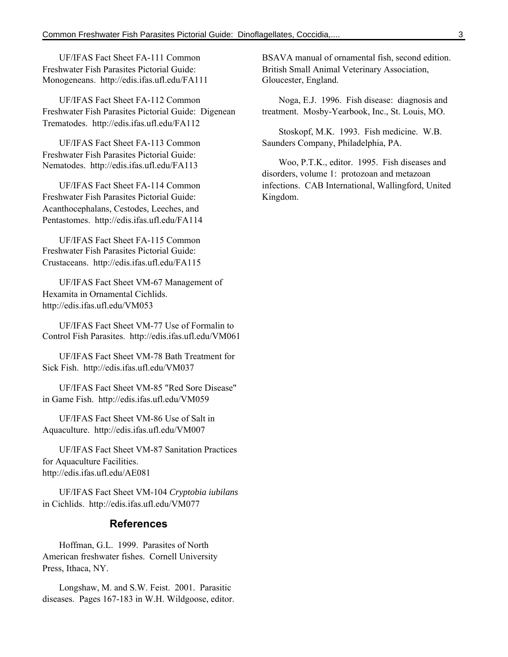UF/IFAS Fact Sheet FA-111 Common Freshwater Fish Parasites Pictorial Guide: Monogeneans. http://edis.ifas.ufl.edu/FA111

UF/IFAS Fact Sheet FA-112 Common Freshwater Fish Parasites Pictorial Guide: Digenean Trematodes. http://edis.ifas.ufl.edu/FA112

UF/IFAS Fact Sheet FA-113 Common Freshwater Fish Parasites Pictorial Guide: Nematodes. http://edis.ifas.ufl.edu/FA113

UF/IFAS Fact Sheet FA-114 Common Freshwater Fish Parasites Pictorial Guide: Acanthocephalans, Cestodes, Leeches, and Pentastomes. http://edis.ifas.ufl.edu/FA114

UF/IFAS Fact Sheet FA-115 Common Freshwater Fish Parasites Pictorial Guide: Crustaceans. http://edis.ifas.ufl.edu/FA115

UF/IFAS Fact Sheet VM-67 Management of Hexamita in Ornamental Cichlids. http://edis.ifas.ufl.edu/VM053

UF/IFAS Fact Sheet VM-77 Use of Formalin to Control Fish Parasites. http://edis.ifas.ufl.edu/VM061

UF/IFAS Fact Sheet VM-78 Bath Treatment for Sick Fish. http://edis.ifas.ufl.edu/VM037

UF/IFAS Fact Sheet VM-85 "Red Sore Disease" in Game Fish. http://edis.ifas.ufl.edu/VM059

UF/IFAS Fact Sheet VM-86 Use of Salt in Aquaculture. http://edis.ifas.ufl.edu/VM007

UF/IFAS Fact Sheet VM-87 Sanitation Practices for Aquaculture Facilities. http://edis.ifas.ufl.edu/AE081

UF/IFAS Fact Sheet VM-104 *Cryptobia iubilans* in Cichlids. http://edis.ifas.ufl.edu/VM077

#### **References**

Hoffman, G.L. 1999. Parasites of North American freshwater fishes. Cornell University Press, Ithaca, NY.

Longshaw, M. and S.W. Feist. 2001. Parasitic diseases. Pages 167-183 in W.H. Wildgoose, editor. BSAVA manual of ornamental fish, second edition. British Small Animal Veterinary Association, Gloucester, England.

Noga, E.J. 1996. Fish disease: diagnosis and treatment. Mosby-Yearbook, Inc., St. Louis, MO.

Stoskopf, M.K. 1993. Fish medicine. W.B. Saunders Company, Philadelphia, PA.

Woo, P.T.K., editor. 1995. Fish diseases and disorders, volume 1: protozoan and metazoan infections. CAB International, Wallingford, United Kingdom.